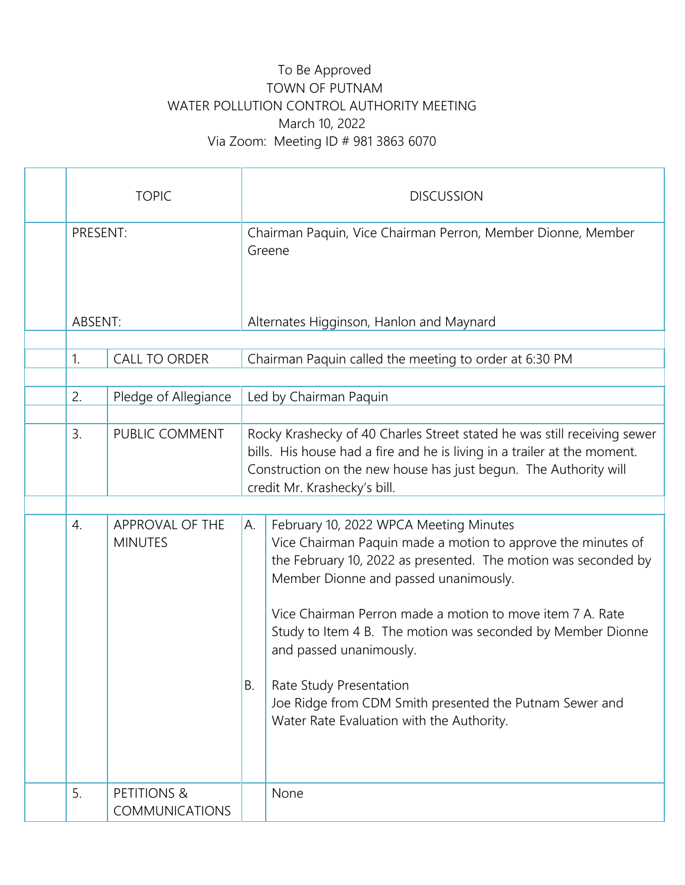## To Be Approved TOWN OF PUTNAM WATER POLLUTION CONTROL AUTHORITY MEETING March 10, 2022 Via Zoom: Meeting ID # 981 3863 6070

| <b>TOPIC</b> |                                      |           | <b>DISCUSSION</b>                                                                                                                                                                                                                                                                                                                                                                                                                                                 |
|--------------|--------------------------------------|-----------|-------------------------------------------------------------------------------------------------------------------------------------------------------------------------------------------------------------------------------------------------------------------------------------------------------------------------------------------------------------------------------------------------------------------------------------------------------------------|
| PRESENT:     |                                      |           | Chairman Paquin, Vice Chairman Perron, Member Dionne, Member<br>Greene                                                                                                                                                                                                                                                                                                                                                                                            |
| ABSENT:      |                                      |           | Alternates Higginson, Hanlon and Maynard                                                                                                                                                                                                                                                                                                                                                                                                                          |
| 1.           | <b>CALL TO ORDER</b>                 |           | Chairman Paquin called the meeting to order at 6:30 PM                                                                                                                                                                                                                                                                                                                                                                                                            |
| 2.           | Pledge of Allegiance                 |           | Led by Chairman Paquin                                                                                                                                                                                                                                                                                                                                                                                                                                            |
| 3.           | PUBLIC COMMENT                       |           | Rocky Krashecky of 40 Charles Street stated he was still receiving sewer<br>bills. His house had a fire and he is living in a trailer at the moment.<br>Construction on the new house has just begun. The Authority will<br>credit Mr. Krashecky's bill.                                                                                                                                                                                                          |
| 4.           | APPROVAL OF THE                      | A.        | February 10, 2022 WPCA Meeting Minutes                                                                                                                                                                                                                                                                                                                                                                                                                            |
|              | <b>MINUTES</b>                       | <b>B.</b> | Vice Chairman Paquin made a motion to approve the minutes of<br>the February 10, 2022 as presented. The motion was seconded by<br>Member Dionne and passed unanimously.<br>Vice Chairman Perron made a motion to move item 7 A. Rate<br>Study to Item 4 B. The motion was seconded by Member Dionne<br>and passed unanimously.<br>Rate Study Presentation<br>Joe Ridge from CDM Smith presented the Putnam Sewer and<br>Water Rate Evaluation with the Authority. |
| 5.           | PETITIONS &<br><b>COMMUNICATIONS</b> |           | None                                                                                                                                                                                                                                                                                                                                                                                                                                                              |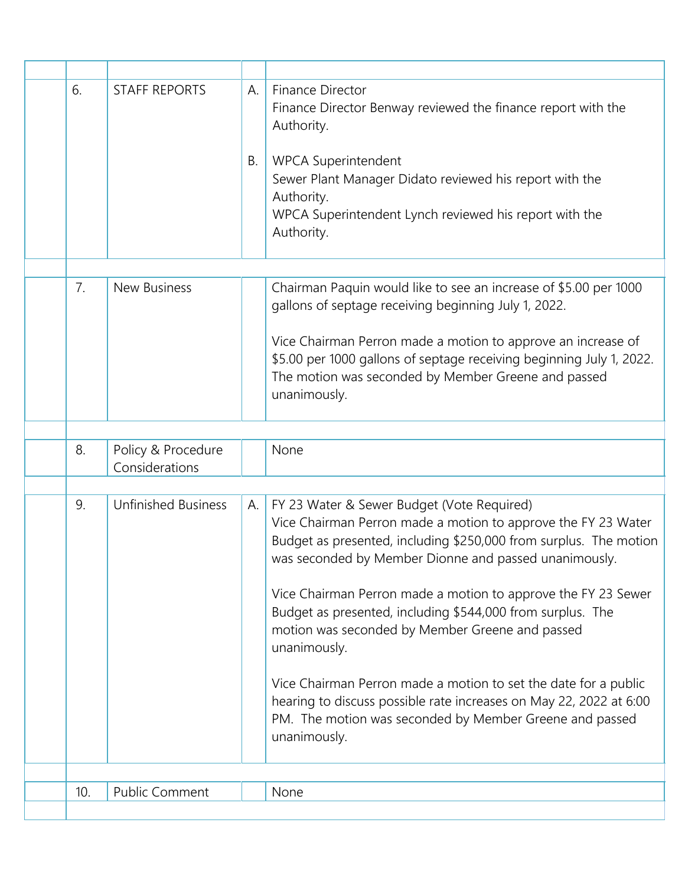| 6.  | <b>STAFF REPORTS</b>                 | А.<br>Β. | Finance Director<br>Finance Director Benway reviewed the finance report with the<br>Authority.<br><b>WPCA Superintendent</b><br>Sewer Plant Manager Didato reviewed his report with the<br>Authority.<br>WPCA Superintendent Lynch reviewed his report with the<br>Authority.                                                                                                                                                                                                                                                                                                                                                                                   |
|-----|--------------------------------------|----------|-----------------------------------------------------------------------------------------------------------------------------------------------------------------------------------------------------------------------------------------------------------------------------------------------------------------------------------------------------------------------------------------------------------------------------------------------------------------------------------------------------------------------------------------------------------------------------------------------------------------------------------------------------------------|
| 7.  | <b>New Business</b>                  |          | Chairman Paquin would like to see an increase of \$5.00 per 1000<br>gallons of septage receiving beginning July 1, 2022.<br>Vice Chairman Perron made a motion to approve an increase of<br>\$5.00 per 1000 gallons of septage receiving beginning July 1, 2022.<br>The motion was seconded by Member Greene and passed<br>unanimously.                                                                                                                                                                                                                                                                                                                         |
| 8.  | Policy & Procedure<br>Considerations |          | None                                                                                                                                                                                                                                                                                                                                                                                                                                                                                                                                                                                                                                                            |
| 9.  | <b>Unfinished Business</b>           | А.       | FY 23 Water & Sewer Budget (Vote Required)<br>Vice Chairman Perron made a motion to approve the FY 23 Water<br>Budget as presented, including \$250,000 from surplus. The motion<br>was seconded by Member Dionne and passed unanimously.<br>Vice Chairman Perron made a motion to approve the FY 23 Sewer<br>Budget as presented, including \$544,000 from surplus. The<br>motion was seconded by Member Greene and passed<br>unanimously.<br>Vice Chairman Perron made a motion to set the date for a public<br>hearing to discuss possible rate increases on May 22, 2022 at 6:00<br>PM. The motion was seconded by Member Greene and passed<br>unanimously. |
| 10. | <b>Public Comment</b>                |          | None                                                                                                                                                                                                                                                                                                                                                                                                                                                                                                                                                                                                                                                            |